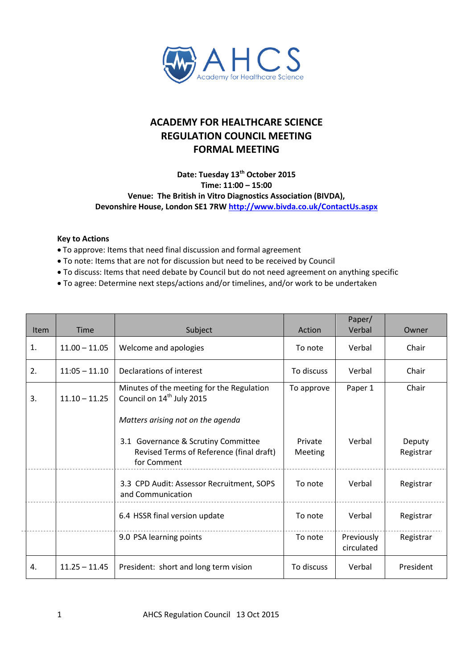

## **ACADEMY FOR HEALTHCARE SCIENCE REGULATION COUNCIL MEETING FORMAL MEETING**

## **Date: Tuesday 13th October 2015 Time: 11:00 – 15:00 Venue: The British in Vitro Diagnostics Association (BIVDA), Devonshire House, London SE1 7RW <http://www.bivda.co.uk/ContactUs.aspx>**

## **Key to Actions**

- To approve: Items that need final discussion and formal agreement
- To note: Items that are not for discussion but need to be received by Council
- To discuss: Items that need debate by Council but do not need agreement on anything specific
- To agree: Determine next steps/actions and/or timelines, and/or work to be undertaken

| <b>Item</b>    | <b>Time</b>     |                                                                                                | Action             | Paper/<br>Verbal         | Owner               |
|----------------|-----------------|------------------------------------------------------------------------------------------------|--------------------|--------------------------|---------------------|
|                |                 | Subject                                                                                        |                    |                          |                     |
| $\mathbf{1}$ . | $11.00 - 11.05$ | Welcome and apologies                                                                          | To note            | Verbal                   | Chair               |
| 2.             | $11:05 - 11.10$ | Declarations of interest                                                                       | To discuss         | Verbal                   | Chair               |
| 3.             | $11.10 - 11.25$ | Minutes of the meeting for the Regulation<br>Council on 14 <sup>th</sup> July 2015             | To approve         | Paper 1                  | Chair               |
|                |                 | Matters arising not on the agenda                                                              |                    |                          |                     |
|                |                 | 3.1 Governance & Scrutiny Committee<br>Revised Terms of Reference (final draft)<br>for Comment | Private<br>Meeting | Verbal                   | Deputy<br>Registrar |
|                |                 | 3.3 CPD Audit: Assessor Recruitment, SOPS<br>and Communication                                 | To note            | Verbal                   | Registrar           |
|                |                 | 6.4 HSSR final version update                                                                  | To note            | Verbal                   | Registrar           |
|                |                 | 9.0 PSA learning points                                                                        | To note            | Previously<br>circulated | Registrar           |
| 4.             | $11.25 - 11.45$ | President: short and long term vision                                                          | To discuss         | Verbal                   | President           |